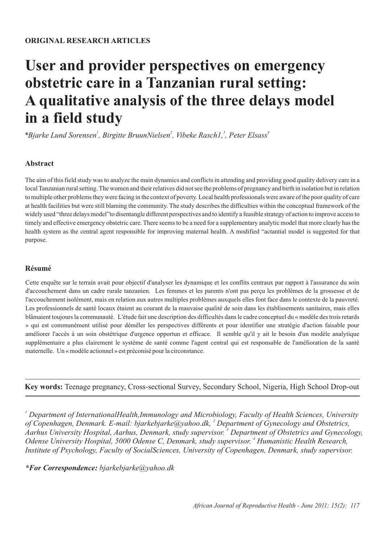# **User and provider perspectives on emergency obstetric care in a Tanzanian rural setting: A qualitative analysis of the three delays model in a field study**

*1 2 3 4 \*Bjarke Lund Sorensen , Birgitte BruunNielsen , Vibeke Rasch1, , Peter Elsass* 

# **Abstract**

The aim of this field study was to analyze the main dynamics and conflicts in attending and providing good quality delivery care in a local Tanzanian rural setting. The women and their relatives did not see the problems of pregnancy and birth in isolation but in relation to multiple other problems they were facing in the context of poverty. Local health professionals were aware of the poor quality of care at health facilities but were still blaming the community. The study describes the difficulties within the conceptual framework of the widely used "three delays model"to disentangle different perspectives and to identify a feasible strategy of action to improve access to timely and effective emergency obstetric care. There seems to be a need for a supplementary analytic model that more clearly has the health system as the central agent responsible for improving maternal health. A modified "actantial model is suggested for that purpose.

## **Résumé**

Cette enquête sur le terrain avait pour objectif d'analyser les dynamique et les conflits centraux par rapport à l'assurance du soin d'accouchement dans un cadre rurale tanzanien. Les femmes et les parents n'ont pas perçu les problèmes de la grossesse et de l'accouchement isolément, mais en relation aux autres multiples problèmes auxquels elles font face dans le contexte de la pauvreté. Les professionnels de santé locaux étaient au courant de la mauvaise qualité de soin dans les établissements sanitaires, mais elles blâmaient toujours la communauté. L'étude fait une description des difficultés dans le cadre conceptuel du « modèle des trois retards » qui est communément utilisé pour démêler les perspectives différents et pour identifier une stratégie d'action faisable pour améliorer l'accès à un soin obstétrique d'urgence opportun et efficace. Il semble qu'il y ait le besoin d'un modèle analytique supplémentaire a plus clairement le système de santé comme l'agent central qui est responsable de l'amélioration de la santé maternelle. Un « modèle actionnel » est préconisé pour la circonstance.

**Key words:** Teenage pregnancy, Cross-sectional Survey, Secondary School, Nigeria, High School Drop-out

*1 Department of InternationalHealth,Immunology and Microbiology, Faculty of Health Sciences, University*  of Copenhagen, Denmark. E-mail: bjarkebjarke@yahoo.dk, <sup>2</sup> Department of Gynecology and Obstetrics, *3 Aarhus University Hospital, Aarhus, Denmark, study supervisor. Department of Obstetrics and Gynecology, Odense University Hospital, 5000 Odense C, Denmark, study supervisor.* <sup>4</sup> *Humanistic Health Research, Institute of Psychology, Faculty of SocialSciences, University of Copenhagen, Denmark, study supervisor.*

# *\*For Correspondence: bjarkebjarke@yahoo.dk*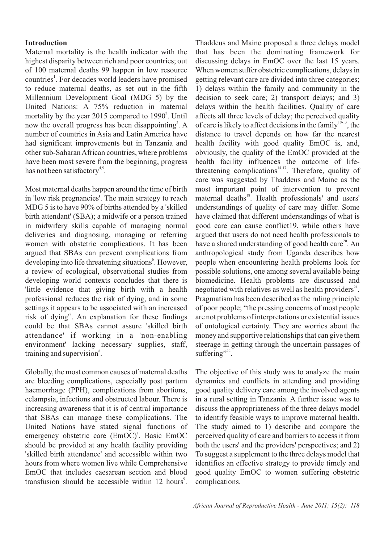#### **Introduction**

Maternal mortality is the health indicator with the highest disparity between rich and poor countries; out of 100 maternal deaths 99 happen in low resource countries<sup>1</sup>. For decades world leaders have promised to reduce maternal deaths, as set out in the fifth Millennium Development Goal (MDG 5) by the United Nations: A 75% reduction in maternal mortality by the year 2015 compared to  $1990<sup>2</sup>$ . Until now the overall progress has been disappointing<sup>3</sup>. A number of countries in Asia and Latin America have had significant improvements but in Tanzania and other sub-Saharan African countries, where problems have been most severe from the beginning, progress has not been satisfactory<sup>4,5</sup>.

Most maternal deaths happen around the time of birth in 'low risk pregnancies'. The main strategy to reach MDG 5 is to have 90% of births attended by a 'skilled birth attendant' (SBA); a midwife or a person trained in midwifery skills capable of managing normal deliveries and diagnosing, managing or referring women with obstetric complications. It has been argued that SBAs can prevent complications from developing into life threatening situations<sup>6</sup>. However, a review of ecological, observational studies from developing world contexts concludes that there is 'little evidence that giving birth with a health professional reduces the risk of dying, and in some settings it appears to be associated with an increased risk of dying<sup>"</sup>. An explanation for these findings could be that SBAs cannot assure 'skilled birth attendance' if working in a 'non-enabling environment' lacking necessary supplies, staff, training and supervision<sup>8</sup>.

Globally, the most common causes of maternal deaths are bleeding complications, especially post partum haemorrhage (PPH), complications from abortions, eclampsia, infections and obstructed labour. There is increasing awareness that it is of central importance that SBAs can manage these complications. The United Nations have stated signal functions of emergency obstetric care (EmOC)<sup>1</sup>. Basic EmOC should be provided at any health facility providing 'skilled birth attendance' and accessible within two hours from where women live while Comprehensive EmOC that includes caesarean section and blood transfusion should be accessible within 12 hours<sup>9</sup>. Thaddeus and Maine proposed a three delays model that has been the dominating framework for discussing delays in EmOC over the last 15 years. When women suffer obstetric complications, delays in getting relevant care are divided into three categories; 1) delays within the family and community in the decision to seek care; 2) transport delays; and 3) delays within the health facilities. Quality of care affects all three levels of delay; the perceived quality of care is likely to affect decisions in the family  $10^{-13}$ , the distance to travel depends on how far the nearest health facility with good quality EmOC is, and, obviously, the quality of the EmOC provided at the health facility influences the outcome of lifethreatening complications $14-17$ . Therefore, quality of care was suggested by Thaddeus and Maine as the most important point of intervention to prevent maternal deaths<sup>18</sup>. Health professionals' and users' understandings of quality of care may differ. Some have claimed that different understandings of what is good care can cause conflict19, while others have argued that users do not need health professionals to have a shared understanding of good health care<sup>20</sup>. An anthropological study from Uganda describes how people when encountering health problems look for possible solutions, one among several available being biomedicine. Health problems are discussed and negotiated with relatives as well as health providers $2^2$ . Pragmatism has been described as the ruling principle of poor people; "the pressing concerns of most people are not problems of interpretations or existential issues of ontological certainty. They are worries about the money and supportive relationships that can give them steerage in getting through the uncertain passages of suffering". $22$ .

The objective of this study was to analyze the main dynamics and conflicts in attending and providing good quality delivery care among the involved agents in a rural setting in Tanzania. A further issue was to discuss the appropriateness of the three delays model to identify feasible ways to improve maternal health. The study aimed to 1) describe and compare the perceived quality of care and barriers to access it from both the users' and the providers' perspectives; and 2) To suggest a supplement to the three delays model that identifies an effective strategy to provide timely and good quality EmOC to women suffering obstetric complications.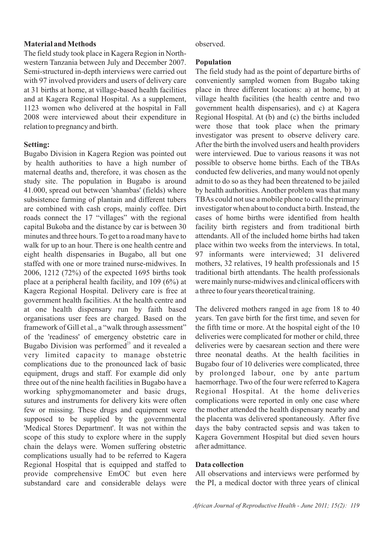#### **Material and Methods**

The field study took place in Kagera Region in Northwestern Tanzania between July and December 2007. Semi-structured in-depth interviews were carried out with 97 involved providers and users of delivery care at 31 births at home, at village-based health facilities and at Kagera Regional Hospital. As a supplement, 1123 women who delivered at the hospital in Fall 2008 were interviewed about their expenditure in relation to pregnancy and birth.

#### **Setting:**

Bugabo Division in Kagera Region was pointed out by health authorities to have a high number of maternal deaths and, therefore, it was chosen as the study site. The population in Bugabo is around 41.000, spread out between 'shambas' (fields) where subsistence farming of plantain and different tubers are combined with cash crops, mainly coffee. Dirt roads connect the 17 "villages" with the regional capital Bukoba and the distance by car is between 30 minutes and three hours. To get to a road many have to walk for up to an hour. There is one health centre and eight health dispensaries in Bugabo, all but one staffed with one or more trained nurse-midwives. In 2006, 1212 (72%) of the expected 1695 births took place at a peripheral health facility, and 109 (6%) at Kagera Regional Hospital. Delivery care is free at government health facilities. At the health centre and at one health dispensary run by faith based organisations user fees are charged. Based on the framework of Gill et al., a "walk through assessment" of the 'readiness' of emergency obstetric care in Bugabo Division was performed $^{23}$  and it revealed a very limited capacity to manage obstetric complications due to the pronounced lack of basic equipment, drugs and staff. For example did only three out of the nine health facilities in Bugabo have a working sphygmomanometer and basic drugs, sutures and instruments for delivery kits were often few or missing. These drugs and equipment were supposed to be supplied by the governmental 'Medical Stores Department'. It was not within the scope of this study to explore where in the supply chain the delays were. Women suffering obstetric complications usually had to be referred to Kagera Regional Hospital that is equipped and staffed to provide comprehensive EmOC but even here substandard care and considerable delays were

#### observed.

#### **Population**

The field study had as the point of departure births of conveniently sampled women from Bugabo taking place in three different locations: a) at home, b) at village health facilities (the health centre and two government health dispensaries), and c) at Kagera Regional Hospital. At (b) and (c) the births included were those that took place when the primary investigator was present to observe delivery care. After the birth the involved users and health providers were interviewed. Due to various reasons it was not possible to observe home births. Each of the TBAs conducted few deliveries, and many would not openly admit to do so as they had been threatened to be jailed by health authorities. Another problem was that many TBAs could not use a mobile phone to call the primary investigator when about to conduct a birth. Instead, the cases of home births were identified from health facility birth registers and from traditional birth attendants. All of the included home births had taken place within two weeks from the interviews. In total, 97 informants were interviewed; 31 delivered mothers, 32 relatives, 19 health professionals and 15 traditional birth attendants. The health professionals were mainly nurse-midwives and clinical officers with a three to four years theoretical training.

The delivered mothers ranged in age from 18 to 40 years. Ten gave birth for the first time, and seven for the fifth time or more. At the hospital eight of the 10 deliveries were complicated for mother or child, three deliveries were by caesarean section and there were three neonatal deaths. At the health facilities in Bugabo four of 10 deliveries were complicated, three by prolonged labour, one by ante partum haemorrhage. Two of the four were referred to Kagera Regional Hospital. At the home deliveries complications were reported in only one case where the mother attended the health dispensary nearby and the placenta was delivered spontaneously. After five days the baby contracted sepsis and was taken to Kagera Government Hospital but died seven hours after admittance.

#### **Data collection**

All observations and interviews were performed by the PI, a medical doctor with three years of clinical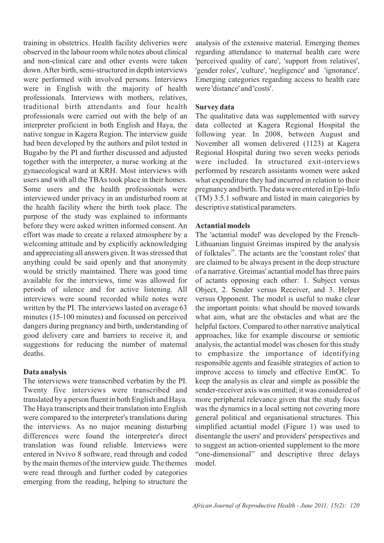training in obstetrics. Health facility deliveries were observed in the labour room while notes about clinical and non-clinical care and other events were taken down. After birth, semi-structured in depth interviews were performed with involved persons. Interviews were in English with the majority of health professionals. Interviews with mothers, relatives, traditional birth attendants and four health professionals were carried out with the help of an interpreter proficient in both English and Haya, the native tongue in Kagera Region. The interview guide had been developed by the authors and pilot tested in Bugabo by the PI and further discussed and adjusted together with the interpreter, a nurse working at the gynaecological ward at KRH. Most interviews with users and with all the TBAs took place in their homes. Some users and the health professionals were interviewed under privacy in an undisturbed room at the health facility where the birth took place. The purpose of the study was explained to informants before they were asked written informed consent. An effort was made to create a relaxed atmosphere by a welcoming attitude and by explicitly acknowledging and appreciating all answers given. It was stressed that anything could be said openly and that anonymity would be strictly maintained. There was good time available for the interviews, time was allowed for periods of silence and for active listening. All interviews were sound recorded while notes were written by the PI. The interviews lasted on average 63 minutes (15-100 minutes) and focussed on perceived dangers during pregnancy and birth, understanding of good delivery care and barriers to receive it, and suggestions for reducing the number of maternal deaths.

#### **Data analysis**

The interviews were transcribed verbatim by the PI. Twenty five interviews were transcribed and translated by a person fluent in both English and Haya. The Haya transcripts and their translation into English were compared to the interpreter's translations during the interviews. As no major meaning disturbing differences were found the interpreter's direct translation was found reliable. Interviews were entered in Nvivo 8 software, read through and coded by the main themes of the interview guide. The themes were read through and further coded by categories emerging from the reading, helping to structure the

analysis of the extensive material. Emerging themes regarding attendance to maternal health care were 'perceived quality of care', 'support from relatives', 'gender roles', 'culture', 'negligence' and 'ignorance'. Emerging categories regarding access to health care were 'distance' and 'costs'.

## **Survey data**

The qualitative data was supplemented with survey data collected at Kagera Regional Hospital the following year. In 2008, between August and November all women delivered (1123) at Kagera Regional Hospital during two seven weeks periods were included. In structured exit-interviews performed by research assistants women were asked what expenditure they had incurred in relation to their pregnancy and birth. The data were entered in Epi-Info (TM) 3.5.1 software and listed in main categories by descriptive statistical parameters.

## **Actantial models**

The 'actantial model' was developed by the French-Lithuanian linguist Greimas inspired by the analysis of folktales<sup>24</sup>. The actants are the 'constant roles' that are claimed to be always present in the deep structure of a narrative. Greimas' actantial model has three pairs of actants opposing each other: 1. Subject versus Object, 2. Sender versus Receiver, and 3. Helper versus Opponent. The model is useful to make clear the important points: what should be moved towards what aim, what are the obstacles and what are the helpful factors. Compared to other narrative analytical approaches, like for example discourse or semiotic analysis, the actantial model was chosen for this study to emphasize the importance of identifying responsible agents and feasible strategies of action to improve access to timely and effective EmOC. To keep the analysis as clear and simple as possible the sender-receiver axis was omitted; it was considered of more peripheral relevance given that the study focus was the dynamics in a local setting not covering more general political and organisational structures. This simplified actantial model (Figure 1) was used to disentangle the users' and providers' perspectives and to suggest an action-oriented supplement to the more "one-dimensional" and descriptive three delays model.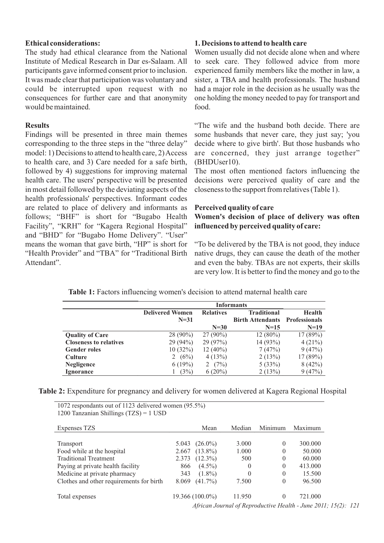#### **Ethical considerations:**

The study had ethical clearance from the National Institute of Medical Research in Dar es-Salaam. All participants gave informed consent prior to inclusion. It was made clear that participation was voluntary and could be interrupted upon request with no consequences for further care and that anonymity would be maintained.

#### **Results**

Findings will be presented in three main themes corresponding to the three steps in the "three delay" model: 1) Decisions to attend to health care, 2) Access to health care, and 3) Care needed for a safe birth, followed by 4) suggestions for improving maternal health care. The users' perspective will be presented in most detail followed by the deviating aspects of the health professionals' perspectives. Informant codes are related to place of delivery and informants as follows; "BHF" is short for "Bugabo Health Facility", "KRH" for "Kagera Regional Hospital" and "BHD" for "Bugabo Home Delivery". "User" means the woman that gave birth, "HP" is short for "Health Provider" and "TBA" for "Traditional Birth Attendant".

#### **1. Decisions to attend to health care**

Women usually did not decide alone when and where to seek care. They followed advice from more experienced family members like the mother in law, a sister, a TBA and health professionals. The husband had a major role in the decision as he usually was the one holding the money needed to pay for transport and food.

"The wife and the husband both decide. There are some husbands that never care, they just say; 'you decide where to give birth'. But those husbands who are concerned, they just arrange together" (BHDUser10).

The most often mentioned factors influencing the decisions were perceived quality of care and the closeness to the support from relatives (Table 1).

#### **Perceived quality of care**

### **Women's decision of place of delivery was often influenced by perceived quality of care:**

"To be delivered by the TBA is not good, they induce native drugs, they can cause the death of the mother and even the baby. TBAs are not experts, their skills are very low. It is better to find the money and go to the

|                               | <b>Informants</b>      |                  |                         |                      |  |  |  |  |
|-------------------------------|------------------------|------------------|-------------------------|----------------------|--|--|--|--|
|                               | <b>Delivered Women</b> | <b>Relatives</b> | Traditional             | <b>Health</b>        |  |  |  |  |
|                               | $N=31$                 |                  | <b>Birth Attendants</b> | <b>Professionals</b> |  |  |  |  |
|                               |                        | $N=30$           | $N=15$                  | $N=19$               |  |  |  |  |
| <b>Quality of Care</b>        | $28(90\%)$             | $27(90\%)$       | $12(80\%)$              | 17(89%)              |  |  |  |  |
| <b>Closeness to relatives</b> | 29 (94%)               | 29 (97%)         | 14 (93%)                | 4(21%)               |  |  |  |  |
| <b>Gender roles</b>           | 10(32%)                | $12(40\%)$       | 7(47%)                  | 9(47%)               |  |  |  |  |
| <b>Culture</b>                | (6%)<br>2              | 4(13%)           | 2(13%)                  | 17(89%)              |  |  |  |  |
| <b>Negligence</b>             | 6(19%)                 | (7%)             | 5(33%)                  | 8(42%)               |  |  |  |  |
| <b>Ignorance</b>              | (3%)                   | $6(20\%)$        | 2(13%)                  | 9(47%)               |  |  |  |  |

#### Table 1: Factors influencing women's decision to attend maternal health care

**Table 2:** Expenditure for pregnancy and delivery for women delivered at Kagera Regional Hospital

1072 respondants out of 1123 delivered women (95.5%) 1200 Tanzanian Shillings (TZS) = 1 USD

| Expenses TZS                             |       | Mean            | Median   | Minimum      | Maximum                                                        |  |
|------------------------------------------|-------|-----------------|----------|--------------|----------------------------------------------------------------|--|
|                                          |       |                 |          |              |                                                                |  |
| Transport                                | 5.043 | $(26.0\%)$      | 3.000    | $\mathbf{0}$ | 300.000                                                        |  |
| Food while at the hospital               | 2.667 | $(13.8\%)$      | 1.000    | $\mathbf{0}$ | 50.000                                                         |  |
| <b>Traditional Treatment</b>             | 2.373 | $(12.3\%)$      | 500      | $\mathbf{0}$ | 60.000                                                         |  |
| Paying at private health facility        | 866   | $(4.5\%)$       | 0        | $\mathbf{0}$ | 413.000                                                        |  |
| Medicine at private pharmacy             | 343   | $(1.8\%)$       | $\theta$ | $\mathbf{0}$ | 15.500                                                         |  |
| Clothes and other requirements for birth | 8.069 | $(41.7\%)$      | 7.500    | $\mathbf{0}$ | 96.500                                                         |  |
| Total expenses                           |       | 19.366 (100.0%) | 11.950   | $\theta$     | 721.000                                                        |  |
|                                          |       |                 |          |              | African Journal of Reproductive Health - June 2011; 15(2): 121 |  |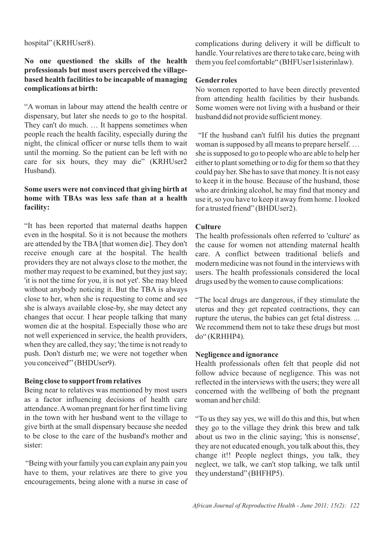hospital" (KRHUser8).

## **No one questioned the skills of the health professionals but most users perceived the villagebased health facilities to be incapable of managing complications at birth:**

"A woman in labour may attend the health centre or dispensary, but later she needs to go to the hospital. They can't do much. … It happens sometimes when people reach the health facility, especially during the night, the clinical officer or nurse tells them to wait until the morning. So the patient can be left with no care for six hours, they may die" (KRHUser2 Husband).

# **Some users were not convinced that giving birth at home with TBAs was less safe than at a health facility:**

"It has been reported that maternal deaths happen even in the hospital. So it is not because the mothers are attended by the TBA [that women die]. They don't receive enough care at the hospital. The health providers they are not always close to the mother, the mother may request to be examined, but they just say; 'it is not the time for you, it is not yet'. She may bleed without anybody noticing it. But the TBA is always close to her, when she is requesting to come and see she is always available close-by, she may detect any changes that occur. I hear people talking that many women die at the hospital. Especially those who are not well experienced in service, the health providers, when they are called, they say; 'the time is not ready to push. Don't disturb me; we were not together when you conceived'" (BHDUser9).

# **Being close to support from relatives**

Being near to relatives was mentioned by most users as a factor influencing decisions of health care attendance. Awoman pregnant for her first time living in the town with her husband went to the village to give birth at the small dispensary because she needed to be close to the care of the husband's mother and sister:

"Being with your family you can explain any pain you have to them, your relatives are there to give you encouragements, being alone with a nurse in case of complications during delivery it will be difficult to handle. Your relatives are there to take care, being with them you feel comfortable" (BHFUser1sisterinlaw).

# **Gender roles**

No women reported to have been directly prevented from attending health facilities by their husbands. Some women were not living with a husband or their husband did not provide sufficient money.

"If the husband can't fulfil his duties the pregnant woman is supposed by all means to prepare herself. … she is supposed to go to people who are able to help her either to plant something or to dig for them so that they could pay her. She has to save that money. It is not easy to keep it in the house. Because of the husband, those who are drinking alcohol, he may find that money and use it, so you have to keep it away from home. I looked for a trusted friend" (BHDUser2).

# **Culture**

The health professionals often referred to 'culture' as the cause for women not attending maternal health care. A conflict between traditional beliefs and modern medicine was not found in the interviews with users. The health professionals considered the local drugs used by the women to cause complications:

"The local drugs are dangerous, if they stimulate the uterus and they get repeated contractions, they can rupture the uterus, the babies can get fetal distress. ... We recommend them not to take these drugs but most do" (KRHHP4).

# **Negligence and ignorance**

Health professionals often felt that people did not follow advice because of negligence. This was not reflected in the interviews with the users; they were all concerned with the wellbeing of both the pregnant woman and her child:

"To us they say yes, we will do this and this, but when they go to the village they drink this brew and talk about us two in the clinic saying; 'this is nonsense', they are not educated enough, you talk about this, they change it!! People neglect things, you talk, they neglect, we talk, we can't stop talking, we talk until they understand" (BHFHP5).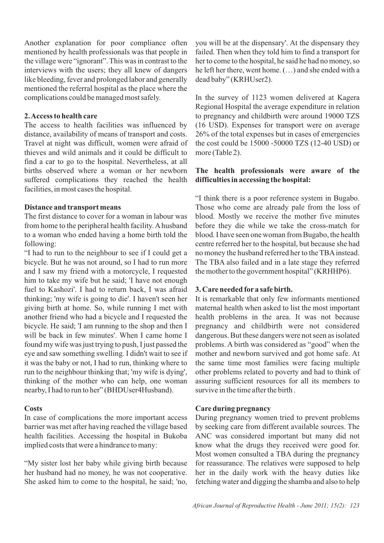Another explanation for poor compliance often mentioned by health professionals was that people in the village were "ignorant". This was in contrast to the interviews with the users; they all knew of dangers like bleeding, fever and prolonged labor and generally mentioned the referral hospital as the place where the complications could be managed most safely.

#### **2. Access to health care**

The access to health facilities was influenced by distance, availability of means of transport and costs. Travel at night was difficult, women were afraid of thieves and wild animals and it could be difficult to find a car to go to the hospital. Nevertheless, at all births observed where a woman or her newborn suffered complications they reached the health facilities, in most cases the hospital.

## **Distance and transport means**

The first distance to cover for a woman in labour was from home to the peripheral health facility. Ahusband to a woman who ended having a home birth told the following:

"I had to run to the neighbour to see if I could get a bicycle. But he was not around, so I had to run more and I saw my friend with a motorcycle, I requested him to take my wife but he said; 'I have not enough fuel to Kashozi'. I had to return back, I was afraid thinking; 'my wife is going to die'. I haven't seen her giving birth at home. So, while running I met with another friend who had a bicycle and I requested the bicycle. He said; 'I am running to the shop and then I will be back in few minutes'. When I came home I found my wife was just trying to push, I just passed the eye and saw something swelling. I didn't wait to see if it was the baby or not, I had to run, thinking where to run to the neighbour thinking that; 'my wife is dying', thinking of the mother who can help, one woman nearby, I had to run to her" (BHDUser4Husband).

# **Costs**

In case of complications the more important access barrier was met after having reached the village based health facilities. Accessing the hospital in Bukoba implied costs that were a hindrance to many:

"My sister lost her baby while giving birth because her husband had no money, he was not cooperative. She asked him to come to the hospital, he said; 'no, you will be at the dispensary'. At the dispensary they failed. Then when they told him to find a transport for her to come to the hospital, he said he had no money, so he left her there, went home. (…) and she ended with a dead baby" (KRHUser2).

In the survey of 1123 women delivered at Kagera Regional Hospital the average expenditure in relation to pregnancy and childbirth were around 19000 TZS (16 USD). Expenses for transport were on average 26% of the total expenses but in cases of emergencies the cost could be 15000 -50000 TZS (12-40 USD) or more (Table 2).

# **The health professionals were aware of the difficulties in accessing the hospital:**

"I think there is a poor reference system in Bugabo. Those who come are already pale from the loss of blood. Mostly we receive the mother five minutes before they die while we take the cross-match for blood. I have seen one woman from Bugabo, the health centre referred her to the hospital, but because she had no money the husband referred her to the TBA instead. The TBA also failed and in a late stage they referred the mother to the government hospital" (KRHHP6).

#### **3. Care needed for a safe birth.**

It is remarkable that only few informants mentioned maternal health when asked to list the most important health problems in the area. It was not because pregnancy and childbirth were not considered dangerous. But these dangers were not seen as isolated problems. A birth was considered as "good" when the mother and newborn survived and got home safe. At the same time most families were facing multiple other problems related to poverty and had to think of assuring sufficient resources for all its members to survive in the time after the birth .

# **Care during pregnancy**

During pregnancy women tried to prevent problems by seeking care from different available sources. The ANC was considered important but many did not know what the drugs they received were good for. Most women consulted a TBA during the pregnancy for reassurance. The relatives were supposed to help her in the daily work with the heavy duties like fetching water and digging the shamba and also to help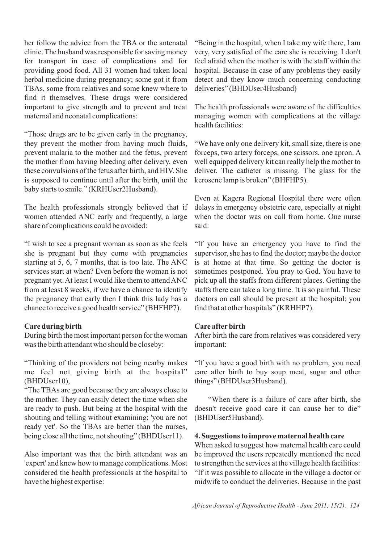her follow the advice from the TBA or the antenatal clinic. The husband was responsible for saving money for transport in case of complications and for providing good food. All 31 women had taken local herbal medicine during pregnancy; some got it from TBAs, some from relatives and some knew where to find it themselves. These drugs were considered important to give strength and to prevent and treat maternal and neonatal complications:

"Those drugs are to be given early in the pregnancy, they prevent the mother from having much fluids, prevent malaria to the mother and the fetus, prevent the mother from having bleeding after delivery, even these convulsions of the fetus after birth, and HIV. She is supposed to continue until after the birth, until the baby starts to smile." (KRHUser2Husband).

The health professionals strongly believed that if women attended ANC early and frequently, a large share of complications could be avoided:

"I wish to see a pregnant woman as soon as she feels she is pregnant but they come with pregnancies starting at 5, 6, 7 months, that is too late. The ANC services start at when? Even before the woman is not pregnant yet. At least I would like them to attend ANC from at least 8 weeks, if we have a chance to identify the pregnancy that early then I think this lady has a chance to receive a good health service" (BHFHP7).

#### **Care during birth**

During birth the most important person for the woman was the birth attendant who should be closeby:

"Thinking of the providers not being nearby makes me feel not giving birth at the hospital" (BHDUser10),

"The TBAs are good because they are always close to the mother. They can easily detect the time when she are ready to push. But being at the hospital with the shouting and telling without examining; 'you are not ready yet'. So the TBAs are better than the nurses, being close all the time, not shouting" (BHDUser11).

Also important was that the birth attendant was an 'expert' and knew how to manage complications. Most considered the health professionals at the hospital to have the highest expertise:

"Being in the hospital, when I take my wife there, I am very, very satisfied of the care she is receiving. I don't feel afraid when the mother is with the staff within the hospital. Because in case of any problems they easily detect and they know much concerning conducting deliveries" (BHDUser4Husband)

The health professionals were aware of the difficulties managing women with complications at the village health facilities:

"We have only one delivery kit, small size, there is one forceps, two artery forceps, one scissors, one apron. A well equipped delivery kit can really help the mother to deliver. The catheter is missing. The glass for the kerosene lamp is broken" (BHFHP5).

Even at Kagera Regional Hospital there were often delays in emergency obstetric care, especially at night when the doctor was on call from home. One nurse said:

"If you have an emergency you have to find the supervisor, she has to find the doctor; maybe the doctor is at home at that time. So getting the doctor is sometimes postponed. You pray to God. You have to pick up all the staffs from different places. Getting the staffs there can take a long time. It is so painful. These doctors on call should be present at the hospital; you find that at other hospitals" (KRHHP7).

# **Care afterbirth**

After birth the care from relatives was considered very important:

"If you have a good birth with no problem, you need care after birth to buy soup meat, sugar and other things" (BHDUser3Husband).

"When there is a failure of care after birth, she doesn't receive good care it can cause her to die" (BHDUser5Husband).

#### **4. Suggestions to improve maternal health care**

When asked to suggest how maternal health care could be improved the users repeatedly mentioned the need to strengthen the services at the village health facilities: "If it was possible to allocate in the village a doctor or midwife to conduct the deliveries. Because in the past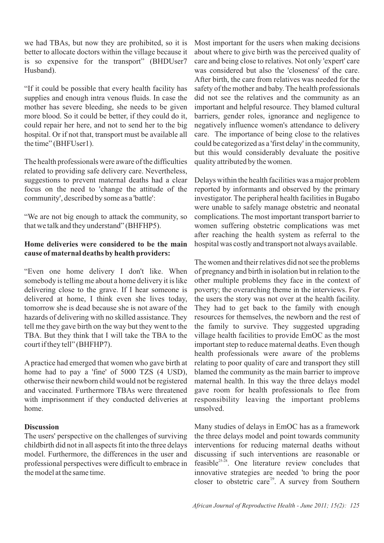we had TBAs, but now they are prohibited, so it is better to allocate doctors within the village because it is so expensive for the transport" (BHDUser7 Husband).

"If it could be possible that every health facility has supplies and enough intra venous fluids. In case the mother has severe bleeding, she needs to be given more blood. So it could be better, if they could do it, could repair her here, and not to send her to the big hospital. Or if not that, transport must be available all the time" (BHFUser1).

The health professionals were aware of the difficulties related to providing safe delivery care. Nevertheless, suggestions to prevent maternal deaths had a clear focus on the need to 'change the attitude of the community', described by some as a 'battle':

"We are not big enough to attack the community, so that we talk and they understand" (BHFHP5).

## **Home deliveries were considered to be the main cause of maternal deaths by health providers:**

"Even one home delivery I don't like. When somebody is telling me about a home delivery it is like delivering close to the grave. If I hear someone is delivered at home, I think even she lives today, tomorrow she is dead because she is not aware of the hazards of delivering with no skilled assistance. They tell me they gave birth on the way but they went to the TBA. But they think that I will take the TBA to the court if they tell" (BHFHP7).

Apractice had emerged that women who gave birth at home had to pay a 'fine' of 5000 TZS (4 USD), otherwise their newborn child would not be registered and vaccinated. Furthermore TBAs were threatened with imprisonment if they conducted deliveries at home.

#### **Discussion**

The users' perspective on the challenges of surviving childbirth did not in all aspects fit into the three delays model. Furthermore, the differences in the user and professional perspectives were difficult to embrace in the model at the same time.

Most important for the users when making decisions about where to give birth was the perceived quality of care and being close to relatives. Not only 'expert' care was considered but also the 'closeness' of the care. After birth, the care from relatives was needed for the safety of the mother and baby. The health professionals did not see the relatives and the community as an important and helpful resource. They blamed cultural barriers, gender roles, ignorance and negligence to negatively influence women's attendance to delivery care. The importance of being close to the relatives could be categorized as a 'first delay' in the community, but this would considerably devaluate the positive quality attributed by the women.

Delays within the health facilities was a major problem reported by informants and observed by the primary investigator. The peripheral health facilities in Bugabo were unable to safely manage obstetric and neonatal complications. The most important transport barrier to women suffering obstetric complications was met after reaching the health system as referral to the hospital was costly and transport not always available.

The women and their relatives did not see the problems of pregnancy and birth in isolation but in relation to the other multiple problems they face in the context of poverty; the overarching theme in the interviews. For the users the story was not over at the health facility. They had to get back to the family with enough resources for themselves, the newborn and the rest of the family to survive. They suggested upgrading village health facilities to provide EmOC as the most important step to reduce maternal deaths. Even though health professionals were aware of the problems relating to poor quality of care and transport they still blamed the community as the main barrier to improve maternal health. In this way the three delays model gave room for health professionals to flee from responsibility leaving the important problems unsolved.

Many studies of delays in EmOC has as a framework the three delays model and point towards community interventions for reducing maternal deaths without discussing if such interventions are reasonable or feasible $^{25-28}$ . One literature review concludes that innovative strategies are needed 'to bring the poor closer to obstetric care<sup>29</sup>. A survey from Southern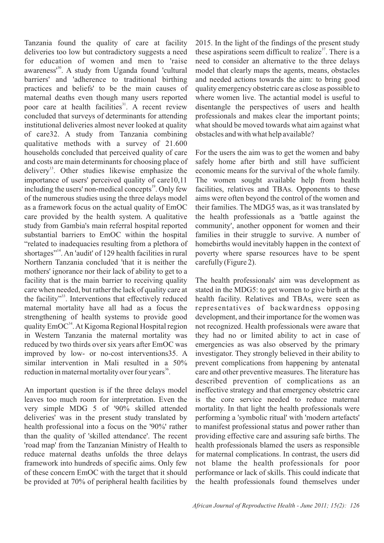Tanzania found the quality of care at facility deliveries too low but contradictory suggests a need for education of women and men to 'raise awareness<sup>130</sup>. A study from Uganda found 'cultural barriers' and 'adherence to traditional birthing practices and beliefs' to be the main causes of maternal deaths even though many users reported poor care at health facilities<sup>31</sup>. A recent review concluded that surveys of determinants for attending institutional deliveries almost never looked at quality of care32. A study from Tanzania combining qualitative methods with a survey of 21.600 households concluded that perceived quality of care and costs are main determinants for choosing place of delivery<sup>13</sup>. Other studies likewise emphasize the importance of users' perceived quality of care10,11 including the users' non-medical concepts $\mathbf{S}^1$ . Only few of the numerous studies using the three delays model as a framework focus on the actual quality of EmOC care provided by the health system. A qualitative study from Gambia's main referral hospital reported substantial barriers to EmOC within the hospital "related to inadequacies resulting from a plethora of shortages"<sup>14</sup>. An 'audit' of 129 health facilities in rural Northern Tanzania concluded 'that it is neither the mothers' ignorance nor their lack of ability to get to a facility that is the main barrier to receiving quality care when needed, but rather the lack of quality care at the facility"<sup>33</sup>. Interventions that effectively reduced maternal mortality have all had as a focus the strengthening of health systems to provide good quality EmOC<sup>34</sup>. At Kigoma Regional Hospital region in Western Tanzania the maternal mortality was reduced by two thirds over six years after EmOC was improved by low- or no-cost interventions35. A similar intervention in Mali resulted in a 50% reduction in maternal mortality over four years<sup>36</sup>.

An important question is if the three delays model leaves too much room for interpretation. Even the very simple MDG 5 of '90% skilled attended deliveries' was in the present study translated by health professional into a focus on the '90%' rather than the quality of 'skilled attendance'. The recent 'road map' from the Tanzanian Ministry of Health to reduce maternal deaths unfolds the three delays framework into hundreds of specific aims. Only few of these concern EmOC with the target that it should be provided at 70% of peripheral health facilities by 2015. In the light of the findings of the present study these aspirations seem difficult to realize<sup> $37$ </sup>. There is a need to consider an alternative to the three delays model that clearly maps the agents, means, obstacles and needed actions towards the aim: to bring good quality emergency obstetric care as close as possible to where women live. The actantial model is useful to disentangle the perspectives of users and health professionals and makes clear the important points; what should be moved towards what aim against what obstacles and with what help available?

For the users the aim was to get the women and baby safely home after birth and still have sufficient economic means for the survival of the whole family. The women sought available help from health facilities, relatives and TBAs. Opponents to these aims were often beyond the control of the women and their families. The MDG5 was, as it was translated by the health professionals as a 'battle against the community', another opponent for women and their families in their struggle to survive. A number of homebirths would inevitably happen in the context of poverty where sparse resources have to be spent carefully (Figure 2).

The health professionals' aim was development as stated in the MDG5: to get women to give birth at the health facility. Relatives and TBAs, were seen as representatives of backwardness opposing development, and their importance for the women was not recognized. Health professionals were aware that they had no or limited ability to act in case of emergencies as was also observed by the primary investigator. They strongly believed in their ability to prevent complications from happening by antenatal care and other preventive measures. The literature has described prevention of complications as an ineffective strategy and that emergency obstetric care is the core service needed to reduce maternal mortality. In that light the health professionals were performing a 'symbolic ritual' with 'modern artefacts' to manifest professional status and power rather than providing effective care and assuring safe births. The health professionals blamed the users as responsible for maternal complications. In contrast, the users did not blame the health professionals for poor performance or lack of skills. This could indicate that the health professionals found themselves under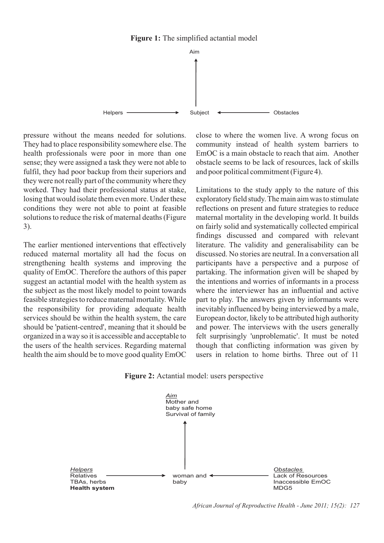

pressure without the means needed for solutions. They had to place responsibility somewhere else. The health professionals were poor in more than one sense; they were assigned a task they were not able to fulfil, they had poor backup from their superiors and they were not really part of the community where they worked. They had their professional status at stake, losing that would isolate them even more. Under these conditions they were not able to point at feasible solutions to reduce the risk of maternal deaths (Figure 3).

The earlier mentioned interventions that effectively reduced maternal mortality all had the focus on strengthening health systems and improving the quality of EmOC. Therefore the authors of this paper suggest an actantial model with the health system as the subject as the most likely model to point towards feasible strategies to reduce maternal mortality. While the responsibility for providing adequate health services should be within the health system, the care should be 'patient-centred', meaning that it should be organized in a way so it is accessible and acceptable to the users of the health services. Regarding maternal health the aim should be to move good quality EmOC close to where the women live. A wrong focus on community instead of health system barriers to EmOC is a main obstacle to reach that aim. Another obstacle seems to be lack of resources, lack of skills and poor political commitment (Figure 4).

Limitations to the study apply to the nature of this exploratory field study. The main aim was to stimulate reflections on present and future strategies to reduce maternal mortality in the developing world. It builds on fairly solid and systematically collected empirical findings discussed and compared with relevant literature. The validity and generalisability can be discussed. No stories are neutral. In a conversation all participants have a perspective and a purpose of partaking. The information given will be shaped by the intentions and worries of informants in a process where the interviewer has an influential and active part to play. The answers given by informants were inevitably influenced by being interviewed by a male, European doctor, likely to be attributed high authority and power. The interviews with the users generally felt surprisingly 'unproblematic'. It must be noted though that conflicting information was given by users in relation to home births. Three out of 11





*African Journal of Reproductive Health - June 2011; 15(2): 127*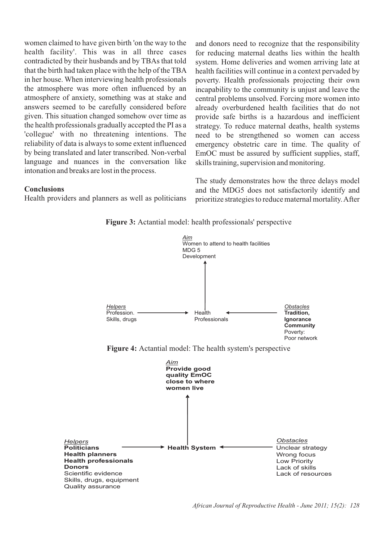women claimed to have given birth 'on the way to the health facility'. This was in all three cases contradicted by their husbands and by TBAs that told that the birth had taken place with the help of the TBA in her house. When interviewing health professionals the atmosphere was more often influenced by an atmosphere of anxiety, something was at stake and answers seemed to be carefully considered before given. This situation changed somehow over time as the health professionals gradually accepted the PI as a 'collegue' with no threatening intentions. The reliability of data is always to some extent influenced by being translated and later transcribed. Non-verbal language and nuances in the conversation like intonation and breaks are lost in the process.

#### **Conclusions**

Health providers and planners as well as politicians

and donors need to recognize that the responsibility for reducing maternal deaths lies within the health system. Home deliveries and women arriving late at health facilities will continue in a context pervaded by poverty. Health professionals projecting their own incapability to the community is unjust and leave the central problems unsolved. Forcing more women into already overburdened health facilities that do not provide safe births is a hazardous and inefficient strategy. To reduce maternal deaths, health systems need to be strengthened so women can access emergency obstetric care in time. The quality of EmOC must be assured by sufficient supplies, staff, skills training, supervision and monitoring.

The study demonstrates how the three delays model and the MDG5 does not satisfactorily identify and prioritize strategies to reduce maternal mortality. After





*African Journal of Reproductive Health - June 2011; 15(2): 128*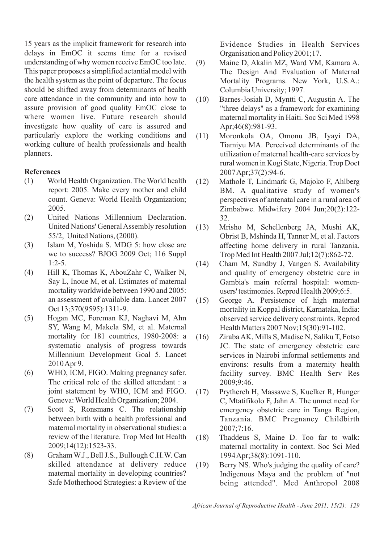15 years as the implicit framework for research into delays in EmOC it seems time for a revised understanding of why women receive EmOC too late. This paper proposes a simplified actantial model with the health system as the point of departure. The focus should be shifted away from determinants of health care attendance in the community and into how to assure provision of good quality EmOC close to where women live. Future research should investigate how quality of care is assured and particularly explore the working conditions and working culture of health professionals and health planners.

## **References**

- (1) World Health Organization. The World health report: 2005. Make every mother and child count. Geneva: World Health Organization; 2005.
- (2) United Nations Millennium Declaration. United Nations' General Assembly resolution 55/2, United Nations, (2000).
- (3) Islam M, Yoshida S. MDG 5: how close are we to success? BJOG 2009 Oct; 116 Suppl  $1:2-5.$
- (4) Hill K, Thomas K, AbouZahr C, Walker N, Say L, Inoue M, et al. Estimates of maternal mortality worldwide between 1990 and 2005: an assessment of available data. Lancet 2007 Oct 13;370(9595):1311-9.
- (5) Hogan MC, Foreman KJ, Naghavi M, Ahn SY, Wang M, Makela SM, et al. Maternal mortality for 181 countries, 1980-2008: a systematic analysis of progress towards Millennium Development Goal 5. Lancet 2010 Apr 9.
- (6) WHO, ICM, FIGO. Making pregnancy safer. The critical role of the skilled attendant : a joint statement by WHO, ICM and FIGO. Geneva: World Health Organization; 2004.
- (7) Scott S, Ronsmans C. The relationship between birth with a health professional and maternal mortality in observational studies: a review of the literature. Trop Med Int Health 2009;14(12):1523-33.
- (8) Graham W.J., Bell J.S., Bullough C.H.W. Can skilled attendance at delivery reduce maternal mortality in developing countries? Safe Motherhood Strategies: a Review of the

Evidence Studies in Health Services Organisation and Policy 2001;17.

- (9) Maine D, Akalin MZ, Ward VM, Kamara A. The Design And Evaluation of Maternal Mortality Programs. New York, U.S.A.: Columbia University; 1997.
- (10) Barnes-Josiah D, Myntti C, Augustin A. The "three delays" as a framework for examining maternal mortality in Haiti. Soc Sci Med 1998 Apr;46(8):981-93.
- (11) Moronkola OA, Omonu JB, Iyayi DA, Tiamiyu MA. Perceived determinants of the utilization of maternal health-care services by rural women in Kogi State, Nigeria. Trop Doct 2007 Apr;37(2):94-6.
- (12) Mathole T, Lindmark G, Majoko F, Ahlberg BM. A qualitative study of women's perspectives of antenatal care in a rural area of Zimbabwe. Midwifery 2004 Jun;20(2):122- 32.
- (13) Mrisho M, Schellenberg JA, Mushi AK, Obrist B, Mshinda H, Tanner M, et al. Factors affecting home delivery in rural Tanzania. Trop Med Int Health 2007 Jul;12(7):862-72.
- (14) Cham M, Sundby J, Vangen S. Availability and quality of emergency obstetric care in Gambia's main referral hospital: womenusers' testimonies. Reprod Health 2009;6:5.
- (15) George A. Persistence of high maternal mortality in Koppal district, Karnataka, India: observed service delivery constraints. Reprod Health Matters 2007 Nov;15(30):91-102.
- (16) Ziraba AK, Mills S, Madise N, Saliku T, Fotso JC. The state of emergency obstetric care services in Nairobi informal settlements and environs: results from a maternity health facility survey. BMC Health Serv Res 2009;9:46.
- (17) Prytherch H, Massawe S, Kuelker R, Hunger C, Mtatifikolo F, Jahn A. The unmet need for emergency obstetric care in Tanga Region, Tanzania. BMC Pregnancy Childbirth 2007;7:16.
- (18) Thaddeus S, Maine D. Too far to walk: maternal mortality in context. Soc Sci Med 1994 Apr;38(8):1091-110.
- (19) Berry NS. Who's judging the quality of care? Indigenous Maya and the problem of "not being attended". Med Anthropol 2008